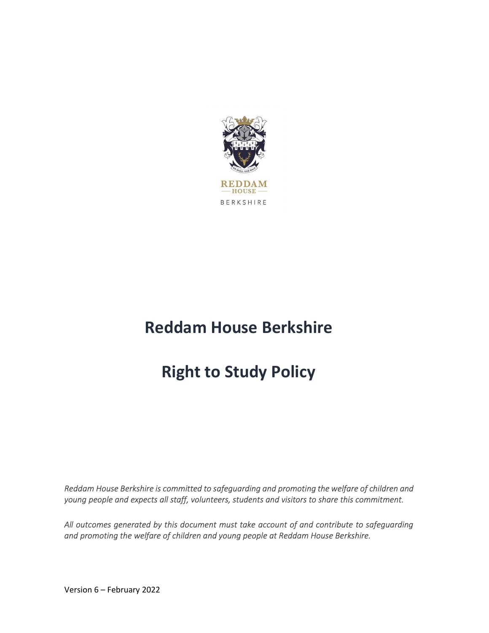

# Reddam House Berkshire

# Right to Study Policy

Reddam House Berkshire is committed to safeguarding and promoting the welfare of children and young people and expects all staff, volunteers, students and visitors to share this commitment.

All outcomes generated by this document must take account of and contribute to safeguarding and promoting the welfare of children and young people at Reddam House Berkshire.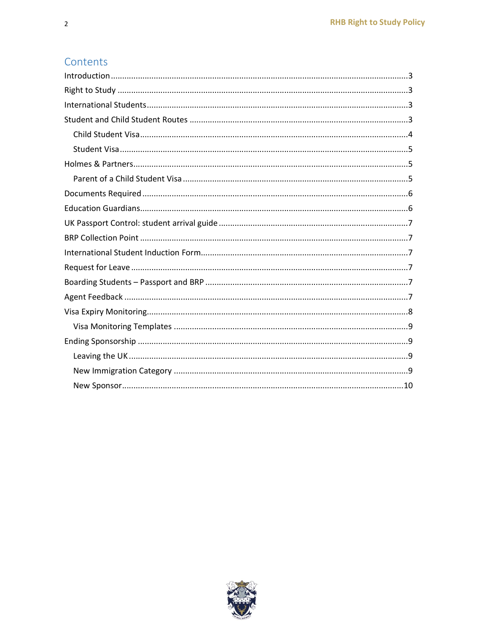## Contents

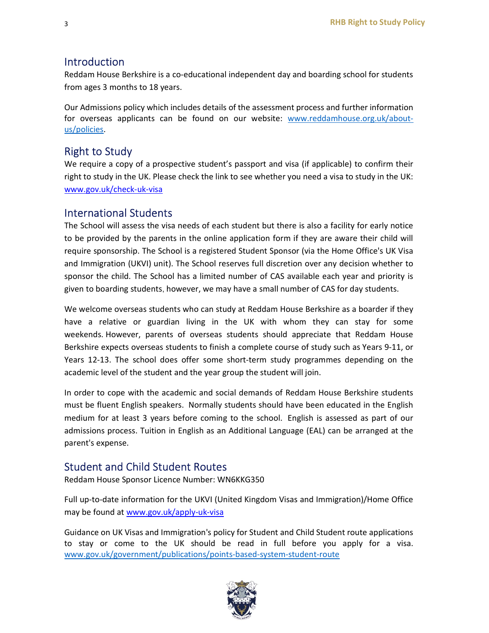#### Introduction

Reddam House Berkshire is a co-educational independent day and boarding school for students from ages 3 months to 18 years.

Our Admissions policy which includes details of the assessment process and further information for overseas applicants can be found on our website: www.reddamhouse.org.uk/aboutus/policies.

## Right to Study

We require a copy of a prospective student's passport and visa (if applicable) to confirm their right to study in the UK. Please check the link to see whether you need a visa to study in the UK: www.gov.uk/check-uk-visa

#### International Students

The School will assess the visa needs of each student but there is also a facility for early notice to be provided by the parents in the online application form if they are aware their child will require sponsorship. The School is a registered Student Sponsor (via the Home Office's UK Visa and Immigration (UKVI) unit). The School reserves full discretion over any decision whether to sponsor the child. The School has a limited number of CAS available each year and priority is given to boarding students, however, we may have a small number of CAS for day students.

We welcome overseas students who can study at Reddam House Berkshire as a boarder if they have a relative or guardian living in the UK with whom they can stay for some weekends. However, parents of overseas students should appreciate that Reddam House Berkshire expects overseas students to finish a complete course of study such as Years 9-11, or Years 12-13. The school does offer some short-term study programmes depending on the academic level of the student and the year group the student will join.

In order to cope with the academic and social demands of Reddam House Berkshire students must be fluent English speakers.  Normally students should have been educated in the English medium for at least 3 years before coming to the school.  English is assessed as part of our admissions process. Tuition in English as an Additional Language (EAL) can be arranged at the parent's expense.

## Student and Child Student Routes

Reddam House Sponsor Licence Number: WN6KKG350

Full up-to-date information for the UKVI (United Kingdom Visas and Immigration)/Home Office may be found at www.gov.uk/apply-uk-visa

Guidance on UK Visas and Immigration's policy for Student and Child Student route applications to stay or come to the UK should be read in full before you apply for a visa. www.gov.uk/government/publications/points-based-system-student-route

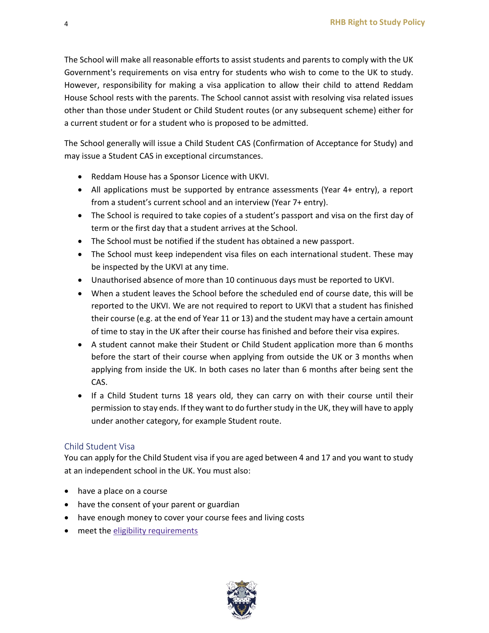The School will make all reasonable efforts to assist students and parents to comply with the UK Government's requirements on visa entry for students who wish to come to the UK to study. However, responsibility for making a visa application to allow their child to attend Reddam House School rests with the parents. The School cannot assist with resolving visa related issues other than those under Student or Child Student routes (or any subsequent scheme) either for a current student or for a student who is proposed to be admitted.

The School generally will issue a Child Student CAS (Confirmation of Acceptance for Study) and may issue a Student CAS in exceptional circumstances.

- Reddam House has a Sponsor Licence with UKVI.
- All applications must be supported by entrance assessments (Year 4+ entry), a report from a student's current school and an interview (Year 7+ entry).
- The School is required to take copies of a student's passport and visa on the first day of term or the first day that a student arrives at the School.
- The School must be notified if the student has obtained a new passport.
- The School must keep independent visa files on each international student. These may be inspected by the UKVI at any time.
- Unauthorised absence of more than 10 continuous days must be reported to UKVI.
- When a student leaves the School before the scheduled end of course date, this will be reported to the UKVI. We are not required to report to UKVI that a student has finished their course (e.g. at the end of Year 11 or 13) and the student may have a certain amount of time to stay in the UK after their course has finished and before their visa expires.
- A student cannot make their Student or Child Student application more than 6 months before the start of their course when applying from outside the UK or 3 months when applying from inside the UK. In both cases no later than 6 months after being sent the CAS.
- If a Child Student turns 18 years old, they can carry on with their course until their permission to stay ends. If they want to do further study in the UK, they will have to apply under another category, for example Student route.

#### Child Student Visa

You can apply for the Child Student visa if you are aged between 4 and 17 and you want to study at an independent school in the UK. You must also:

- have a place on a course
- have the consent of your parent or guardian
- have enough money to cover your course fees and living costs
- meet the eligibility requirements

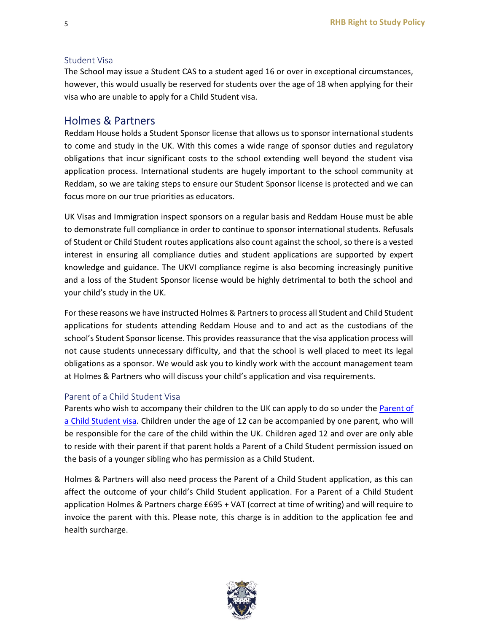#### Student Visa

The School may issue a Student CAS to a student aged 16 or over in exceptional circumstances, however, this would usually be reserved for students over the age of 18 when applying for their visa who are unable to apply for a Child Student visa.

#### Holmes & Partners

Reddam House holds a Student Sponsor license that allows us to sponsor international students to come and study in the UK. With this comes a wide range of sponsor duties and regulatory obligations that incur significant costs to the school extending well beyond the student visa application process. International students are hugely important to the school community at Reddam, so we are taking steps to ensure our Student Sponsor license is protected and we can focus more on our true priorities as educators.

UK Visas and Immigration inspect sponsors on a regular basis and Reddam House must be able to demonstrate full compliance in order to continue to sponsor international students. Refusals of Student or Child Student routes applications also count against the school, so there is a vested interest in ensuring all compliance duties and student applications are supported by expert knowledge and guidance. The UKVI compliance regime is also becoming increasingly punitive and a loss of the Student Sponsor license would be highly detrimental to both the school and your child's study in the UK.

For these reasons we have instructed Holmes & Partners to process all Student and Child Student applications for students attending Reddam House and to and act as the custodians of the school's Student Sponsor license. This provides reassurance that the visa application process will not cause students unnecessary difficulty, and that the school is well placed to meet its legal obligations as a sponsor. We would ask you to kindly work with the account management team at Holmes & Partners who will discuss your child's application and visa requirements.

#### Parent of a Child Student Visa

Parents who wish to accompany their children to the UK can apply to do so under the Parent of a Child Student visa. Children under the age of 12 can be accompanied by one parent, who will be responsible for the care of the child within the UK. Children aged 12 and over are only able to reside with their parent if that parent holds a Parent of a Child Student permission issued on the basis of a younger sibling who has permission as a Child Student.

Holmes & Partners will also need process the Parent of a Child Student application, as this can affect the outcome of your child's Child Student application. For a Parent of a Child Student application Holmes & Partners charge £695 + VAT (correct at time of writing) and will require to invoice the parent with this. Please note, this charge is in addition to the application fee and health surcharge.

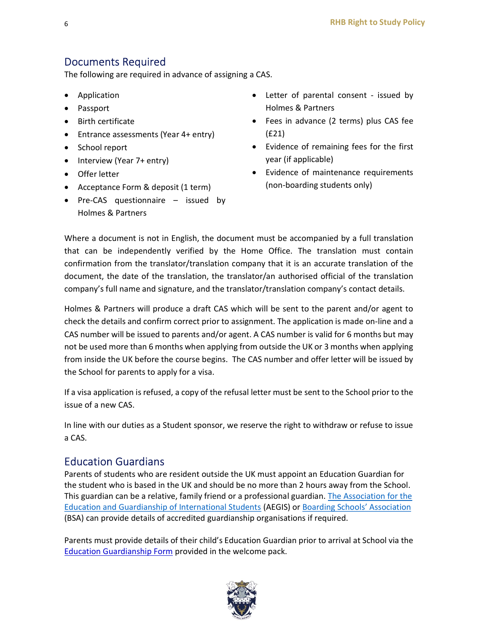## Documents Required

The following are required in advance of assigning a CAS.

- Application
- Passport
- Birth certificate
- Entrance assessments (Year 4+ entry)
- School report
- Interview (Year 7+ entry)
- Offer letter
- Acceptance Form & deposit (1 term)
- Pre-CAS questionnaire issued by Holmes & Partners
- Letter of parental consent issued by Holmes & Partners
- Fees in advance (2 terms) plus CAS fee (£21)
- Evidence of remaining fees for the first year (if applicable)
- Evidence of maintenance requirements (non-boarding students only)

Where a document is not in English, the document must be accompanied by a full translation that can be independently verified by the Home Office. The translation must contain confirmation from the translator/translation company that it is an accurate translation of the document, the date of the translation, the translator/an authorised official of the translation company's full name and signature, and the translator/translation company's contact details.

Holmes & Partners will produce a draft CAS which will be sent to the parent and/or agent to check the details and confirm correct prior to assignment. The application is made on-line and a CAS number will be issued to parents and/or agent. A CAS number is valid for 6 months but may not be used more than 6 months when applying from outside the UK or 3 months when applying from inside the UK before the course begins. The CAS number and offer letter will be issued by the School for parents to apply for a visa.

If a visa application is refused, a copy of the refusal letter must be sent to the School prior to the issue of a new CAS.

In line with our duties as a Student sponsor, we reserve the right to withdraw or refuse to issue a CAS.

#### Education Guardians

Parents of students who are resident outside the UK must appoint an Education Guardian for the student who is based in the UK and should be no more than 2 hours away from the School. This guardian can be a relative, family friend or a professional guardian. The Association for the Education and Guardianship of International Students (AEGIS) or Boarding Schools' Association (BSA) can provide details of accredited guardianship organisations if required.

Parents must provide details of their child's Education Guardian prior to arrival at School via the Education Guardianship Form provided in the welcome pack.

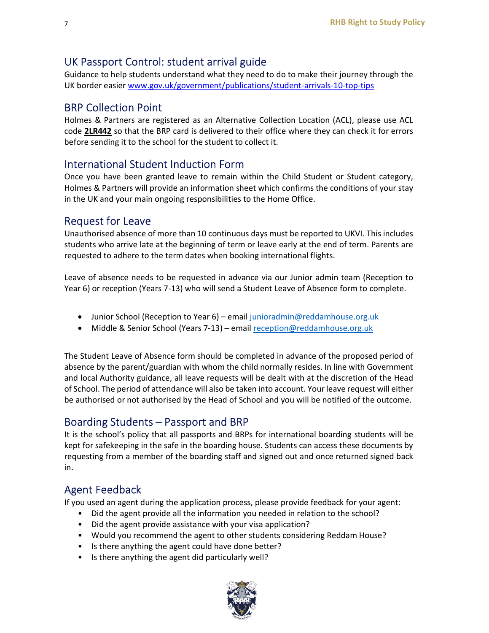## UK Passport Control: student arrival guide

Guidance to help students understand what they need to do to make their journey through the UK border easier www.gov.uk/government/publications/student-arrivals-10-top-tips

#### BRP Collection Point

Holmes & Partners are registered as an Alternative Collection Location (ACL), please use ACL code 2LR442 so that the BRP card is delivered to their office where they can check it for errors before sending it to the school for the student to collect it.

## International Student Induction Form

Once you have been granted leave to remain within the Child Student or Student category, Holmes & Partners will provide an information sheet which confirms the conditions of your stay in the UK and your main ongoing responsibilities to the Home Office.

## Request for Leave

Unauthorised absence of more than 10 continuous days must be reported to UKVI. This includes students who arrive late at the beginning of term or leave early at the end of term. Parents are requested to adhere to the term dates when booking international flights.

Leave of absence needs to be requested in advance via our Junior admin team (Reception to Year 6) or reception (Years 7-13) who will send a Student Leave of Absence form to complete.

- Junior School (Reception to Year 6) email junioradmin@reddamhouse.org.uk
- Middle & Senior School (Years 7-13) email reception@reddamhouse.org.uk

The Student Leave of Absence form should be completed in advance of the proposed period of absence by the parent/guardian with whom the child normally resides. In line with Government and local Authority guidance, all leave requests will be dealt with at the discretion of the Head of School. The period of attendance will also be taken into account. Your leave request will either be authorised or not authorised by the Head of School and you will be notified of the outcome.

#### Boarding Students – Passport and BRP

It is the school's policy that all passports and BRPs for international boarding students will be kept for safekeeping in the safe in the boarding house. Students can access these documents by requesting from a member of the boarding staff and signed out and once returned signed back in.

#### Agent Feedback

If you used an agent during the application process, please provide feedback for your agent:

- Did the agent provide all the information you needed in relation to the school?
- Did the agent provide assistance with your visa application?
- Would you recommend the agent to other students considering Reddam House?
- Is there anything the agent could have done better?
- Is there anything the agent did particularly well?

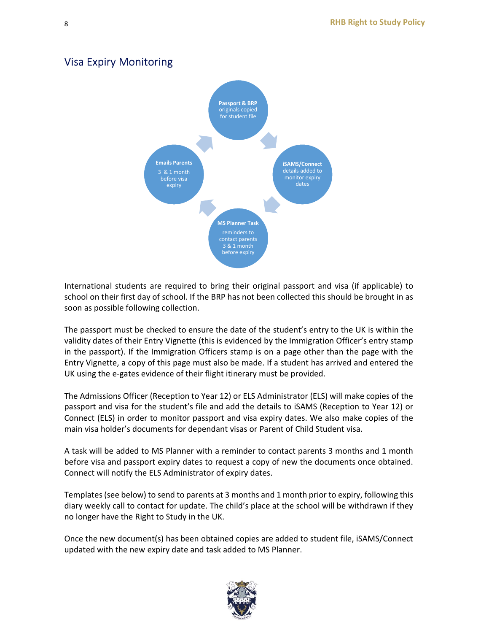

## Visa Expiry Monitoring

International students are required to bring their original passport and visa (if applicable) to school on their first day of school. If the BRP has not been collected this should be brought in as soon as possible following collection.

The passport must be checked to ensure the date of the student's entry to the UK is within the validity dates of their Entry Vignette (this is evidenced by the Immigration Officer's entry stamp in the passport). If the Immigration Officers stamp is on a page other than the page with the Entry Vignette, a copy of this page must also be made. If a student has arrived and entered the UK using the e-gates evidence of their flight itinerary must be provided.

The Admissions Officer (Reception to Year 12) or ELS Administrator (ELS) will make copies of the passport and visa for the student's file and add the details to iSAMS (Reception to Year 12) or Connect (ELS) in order to monitor passport and visa expiry dates. We also make copies of the main visa holder's documents for dependant visas or Parent of Child Student visa.

A task will be added to MS Planner with a reminder to contact parents 3 months and 1 month before visa and passport expiry dates to request a copy of new the documents once obtained. Connect will notify the ELS Administrator of expiry dates.

Templates (see below) to send to parents at 3 months and 1 month prior to expiry, following this diary weekly call to contact for update. The child's place at the school will be withdrawn if they no longer have the Right to Study in the UK.

Once the new document(s) has been obtained copies are added to student file, iSAMS/Connect updated with the new expiry date and task added to MS Planner.

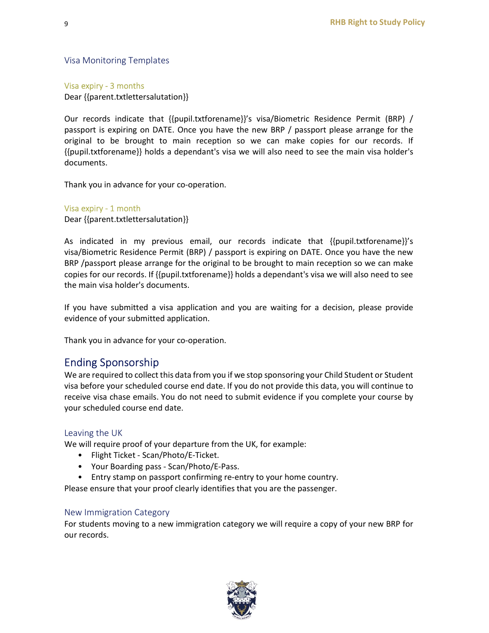Visa Monitoring Templates

Visa expiry - 3 months

Dear {{parent.txtlettersalutation}}

Our records indicate that {{pupil.txtforename}}'s visa/Biometric Residence Permit (BRP) / passport is expiring on DATE. Once you have the new BRP / passport please arrange for the original to be brought to main reception so we can make copies for our records. If {{pupil.txtforename}} holds a dependant's visa we will also need to see the main visa holder's documents.

Thank you in advance for your co-operation.

Visa expiry - 1 month Dear {{parent.txtlettersalutation}}

As indicated in my previous email, our records indicate that {{pupil.txtforename}}'s visa/Biometric Residence Permit (BRP) / passport is expiring on DATE. Once you have the new BRP /passport please arrange for the original to be brought to main reception so we can make copies for our records. If {{pupil.txtforename}} holds a dependant's visa we will also need to see the main visa holder's documents.

If you have submitted a visa application and you are waiting for a decision, please provide evidence of your submitted application.

Thank you in advance for your co-operation.

## Ending Sponsorship

We are required to collect this data from you if we stop sponsoring your Child Student or Student visa before your scheduled course end date. If you do not provide this data, you will continue to receive visa chase emails. You do not need to submit evidence if you complete your course by your scheduled course end date.

#### Leaving the UK

We will require proof of your departure from the UK, for example:

- Flight Ticket Scan/Photo/E-Ticket.
- Your Boarding pass Scan/Photo/E-Pass.
- Entry stamp on passport confirming re-entry to your home country.

Please ensure that your proof clearly identifies that you are the passenger.

#### New Immigration Category

For students moving to a new immigration category we will require a copy of your new BRP for our records.